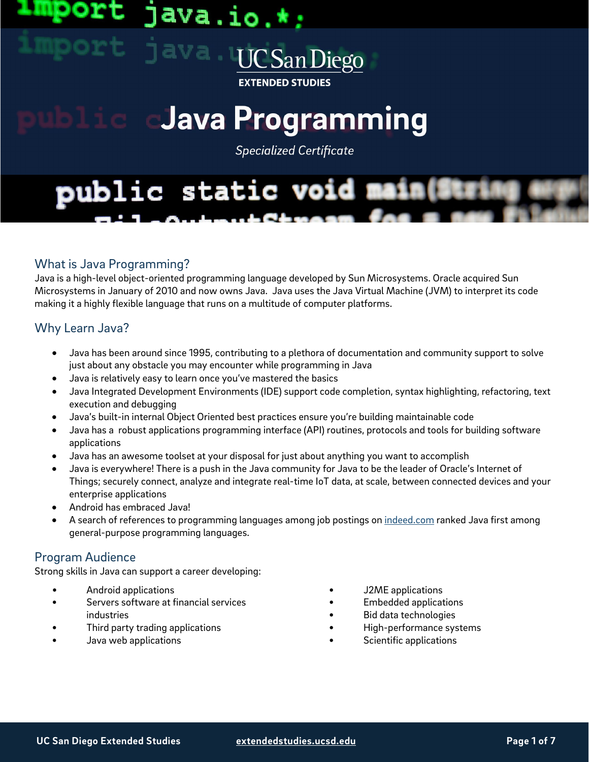## ava.io. **UCSanDiego**

**EXTENDED STUDIES** 

# Java Programming

**Specialized Certificate** 

# public static void main(Stri

#### What is Java Programming?

Java is a high-level object-oriented programming language developed by Sun Microsystems. Oracle acquired Sun Microsystems in January of 2010 and now owns Java. Java uses the Java Virtual Machine (JVM) to interpret its code making it a highly flexible language that runs on a multitude of computer platforms.

#### Why Learn Java?

- Java has been around since 1995, contributing to a plethora of documentation and community support to solve just about any obstacle you may encounter while programming in Java
- Java is relatively easy to learn once you've mastered the basics
- Java Integrated Development Environments (IDE) support code completion, syntax highlighting, refactoring, text execution and debugging
- Java's built-in internal Object Oriented best practices ensure you're building maintainable code
- Java has a robust applications programming interface (API) routines, protocols and tools for building software applications
- Java has an awesome toolset at your disposal for just about anything you want to accomplish
- Java is everywhere! There is a push in the Java community for Java to be the leader of Oracle's Internet of Things; securely connect, analyze and integrate real-time IoT data, at scale, between connected devices and your enterprise applications
- Android has embraced Java!
- A search of references to programming languages among job postings on [indeed.com](https://www.indeed.com/) ranked Java first among general-purpose programming languages.

#### Program Audience

Strong skills in Java can support a career developing:

- Android applications
- Servers software at financial services industries
- Third party trading applications
- Java web applications
- J2ME applications
- Embedded applications
- Bid data technologies
- High-performance systems
- Scientific applications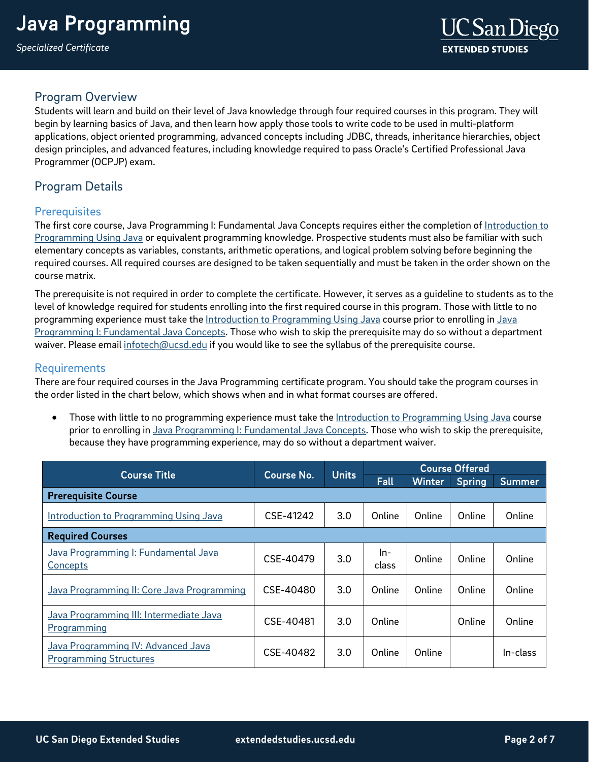#### Program Overview

Students will learn and build on their level of Java knowledge through four required courses in this program. They will begin by learning basics of Java, and then learn how apply those tools to write code to be used in multi-platform applications, object oriented programming, advanced concepts including JDBC, threads, inheritance hierarchies, object design principles, and advanced features, including knowledge required to pass Oracle's Certified Professional Java Programmer (OCPJP) exam.

#### Program Details

#### **Prerequisites**

The first core course, Java Programming I: Fundamental Java Concepts requires either the completion of [Introduction to](https://extension.ucsd.edu/courses-and-programs/introduction-to-programming-using-java?utm_source=faqs-pdf&utm_medium=pdf&utm_campaign=bst-java-programming)  [Programming Using Java](https://extension.ucsd.edu/courses-and-programs/introduction-to-programming-using-java?utm_source=faqs-pdf&utm_medium=pdf&utm_campaign=bst-java-programming) or equivalent programming knowledge. Prospective students must also be familiar with such elementary concepts as variables, constants, arithmetic operations, and logical problem solving before beginning the required courses. All required courses are designed to be taken sequentially and must be taken in the order shown on the course matrix.

The prerequisite is not required in order to complete the certificate. However, it serves as a guideline to students as to the level of knowledge required for students enrolling into the first required course in this program. Those with little to no programming experience must take the [Introduction to Programming Using Java](https://extension.ucsd.edu/courses-and-programs/introduction-to-programming-using-java?utm_source=faqs-pdf&utm_medium=pdf&utm_campaign=bst-java-programming) course prior to enrolling in [Java](https://extension.ucsd.edu/courses-and-programs/java-programming-i-fundamental-java-concepts?utm_source=faqs-pdf&utm_medium=pdf&utm_campaign=bst-java-programming)  [Programming I: Fundamental Java Concepts.](https://extension.ucsd.edu/courses-and-programs/java-programming-i-fundamental-java-concepts?utm_source=faqs-pdf&utm_medium=pdf&utm_campaign=bst-java-programming) Those who wish to skip the prerequisite may do so without a department waiver. Please email [infotech@ucsd.edu](mailto:infotech@ucsd.edu) if you would like to see the syllabus of the prerequisite course.

#### <span id="page-1-0"></span>Requirements

There are four required courses in the Java Programming certificate program. You should take the program courses in the order listed in the chart below, which shows when and in what format courses are offered.

Those with little to no programming experience must take the [Introduction to Programming Using Java](https://extension.ucsd.edu/courses-and-programs/introduction-to-programming-using-java?utm_source=faqs-pdf&utm_medium=pdf&utm_campaign=bst-java-programming) course prior to enrolling in [Java Programming I: Fundamental Java Concepts.](https://extension.ucsd.edu/courses-and-programs/java-programming-i-fundamental-java-concepts?utm_source=faqs-pdf&utm_medium=pdf&utm_campaign=bst-java-programming) Those who wish to skip the prerequisite, because they have programming experience, may do so without a department waiver.

| <b>Course Title</b>                                                 | Course No. | <b>Units</b> | <b>Course Offered</b> |               |        |          |
|---------------------------------------------------------------------|------------|--------------|-----------------------|---------------|--------|----------|
|                                                                     |            |              | <b>Fall</b>           | <b>Winter</b> | Spring | Summer   |
| <b>Prerequisite Course</b>                                          |            |              |                       |               |        |          |
| <b>Introduction to Programming Using Java</b>                       | CSE-41242  | 3.0          | Online                | Online        | Online | Online   |
| <b>Required Courses</b>                                             |            |              |                       |               |        |          |
| Java Programming I: Fundamental Java<br><b>Concepts</b>             | CSE-40479  | 3.0          | ln-<br>class          | Online        | Online | Online   |
| Java Programming II: Core Java Programming                          | CSE-40480  | 3.0          | Online                | Online        | Online | Online   |
| Java Programming III: Intermediate Java<br>Programming              | CSE-40481  | 3.0          | Online                |               | Online | Online   |
| Java Programming IV: Advanced Java<br><b>Programming Structures</b> | CSE-40482  | 3.0          | Online                | Online        |        | In-class |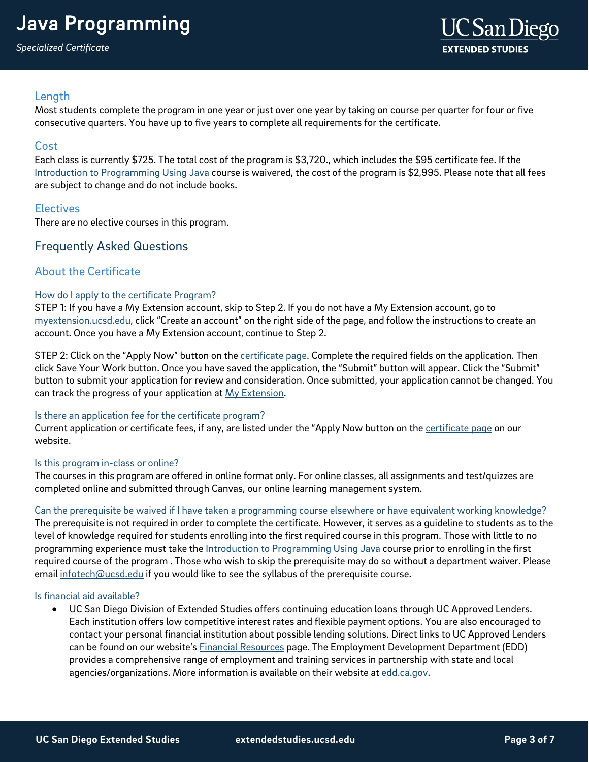## Java Programming

*Specialized Certificate*

#### **Length**

Most students complete the program in one year or just over one year by taking on course per quarter for four or five consecutive quarters. You have up to five years to complete all requirements for the certificate.

#### Cost

Each class is currently \$725. The total cost of the program is \$3,720., which includes the \$95 certificate fee. If the [Introduction to Programming Using Java](https://extension.ucsd.edu/courses-and-programs/introduction-to-programming-using-java?utm_source=faqs-pdf&utm_medium=pdf&utm_campaign=bst-java-programming) course is waivered, the cost of the program is \$2,995. Please note that all fees are subject to change and do not include books.

#### **Electives**

There are no elective courses in this program.

#### Frequently Asked Questions

#### About the Certificate

#### How do I apply to the certificate Program?

STEP 1: If you have a My Extension account, skip to Step 2. If you do not have a My Extension account, go to [myextension.ucsd.edu,](https://myextension.ucsd.edu/) click "Create an account" on the right side of the page, and follow the instructions to create an account. Once you have a My Extension account, continue to Step 2.

STEP 2: Click on the "Apply Now" button on the [certificate page.](https://extension.ucsd.edu/courses-and-programs/java-programming?utm_source=faqs-pdf&utm_medium=pdf&utm_campaign=bst-java-programming) Complete the required fields on the application. Then click Save Your Work button. Once you have saved the application, the "Submit" button will appear. Click the "Submit" button to submit your application for review and consideration. Once submitted, your application cannot be changed. You can track the progress of your application at [My Extension.](https://myextension.ucsd.edu/)

#### Is there an application fee for the certificate program?

Current application or certificate fees, if any, are listed under the "Apply Now button on th[e certificate page](https://extension.ucsd.edu/courses-and-programs/java-programming?utm_source=faqs-pdf&utm_medium=pdf&utm_campaign=bst-java-programming) on our website.

#### Is this program in-class or online?

The courses in this program are offered in online format only. For online classes, all assignments and test/quizzes are completed online and submitted through Canvas, our online learning management system.

#### Can the prerequisite be waived if I have taken a programming course elsewhere or have equivalent working knowledge?

The prerequisite is not required in order to complete the certificate. However, it serves as a guideline to students as to the level of knowledge required for students enrolling into the first required course in this program. Those with little to no programming experience must take the [Introduction to Programming Using Java](https://extension.ucsd.edu/courses-and-programs/introduction-to-programming-using-java?utm_source=faqs-pdf&utm_medium=pdf&utm_campaign=bst-java-programming) course prior to enrolling in the first required course of the program . Those who wish to skip the prerequisite may do so without a department waiver. Please emai[l infotech@ucsd.edu](mailto:infotech@ucsd.edu) if you would like to see the syllabus of the prerequisite course.

#### Is financial aid available?

• UC San Diego Division of Extended Studies offers continuing education loans through UC Approved Lenders. Each institution offers low competitive interest rates and flexible payment options. You are also encouraged to contact your personal financial institution about possible lending solutions. Direct links to UC Approved Lenders can be found on our website's **Financial Resources page. The Employment Development Department (EDD)** provides a comprehensive range of employment and training services in partnership with state and local agencies/organizations. More information is available on their website at [edd.ca.gov.](http://edd.ca.gov/)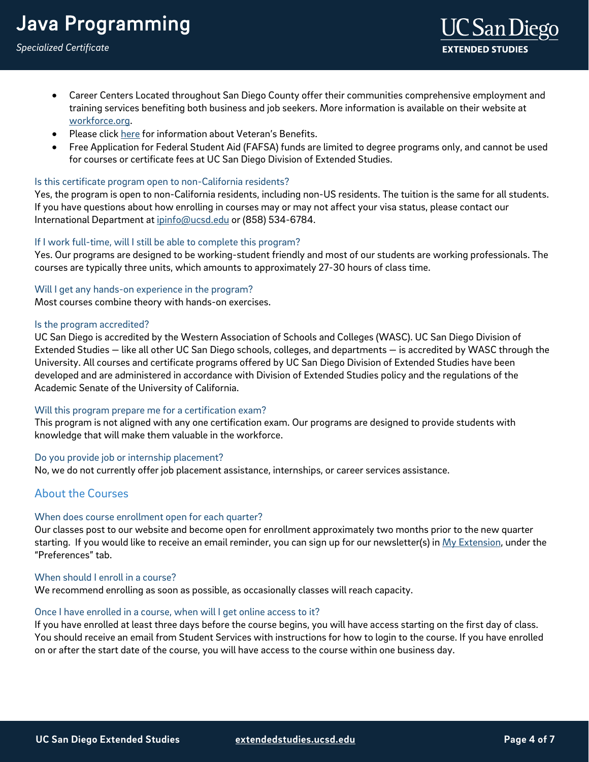## Java Programming

- Career Centers Located throughout San Diego County offer their communities comprehensive employment and training services benefiting both business and job seekers. More information is available on their website at [workforce.org.](http://workforce.org/)
- Please clic[k here](http://extension.ucsd.edu/student/index.cfm?vAction=vets) for information about Veteran's Benefits.
- Free Application for Federal Student Aid (FAFSA) funds are limited to degree programs only, and cannot be used for courses or certificate fees at UC San Diego Division of Extended Studies.

#### Is this certificate program open to non-California residents?

Yes, the program is open to non-California residents, including non-US residents. The tuition is the same for all students. If you have questions about how enrolling in courses may or may not affect your visa status, please contact our International Department at [ipinfo@ucsd.edu](mailto:ipinfo@ucsd.edu) or (858) 534-6784.

#### If I work full-time, will I still be able to complete this program?

Yes. Our programs are designed to be working-student friendly and most of our students are working professionals. The courses are typically three units, which amounts to approximately 27-30 hours of class time.

#### Will I get any hands-on experience in the program?

Most courses combine theory with hands-on exercises.

#### Is the program accredited?

UC San Diego is accredited by the Western Association of Schools and Colleges (WASC). UC San Diego Division of Extended Studies — like all other UC San Diego schools, colleges, and departments — is accredited by WASC through the University. All courses and certificate programs offered by UC San Diego Division of Extended Studies have been developed and are administered in accordance with Division of Extended Studies policy and the regulations of the Academic Senate of the University of California.

#### Will this program prepare me for a certification exam?

This program is not aligned with any one certification exam. Our programs are designed to provide students with knowledge that will make them valuable in the workforce.

#### Do you provide job or internship placement?

No, we do not currently offer job placement assistance, internships, or career services assistance.

#### About the Courses

#### When does course enrollment open for each quarter?

Our classes post to our website and become open for enrollment approximately two months prior to the new quarter starting. If you would like to receive an email reminder, you can sign up for our newsletter(s) in [My Extension,](https://myextension.ucsd.edu/) under the "Preferences" tab.

#### When should Lenroll in a course?

We recommend enrolling as soon as possible, as occasionally classes will reach capacity.

#### Once I have enrolled in a course, when will I get online access to it?

If you have enrolled at least three days before the course begins, you will have access starting on the first day of class. You should receive an email from Student Services with instructions for how to login to the course. If you have enrolled on or after the start date of the course, you will have access to the course within one business day.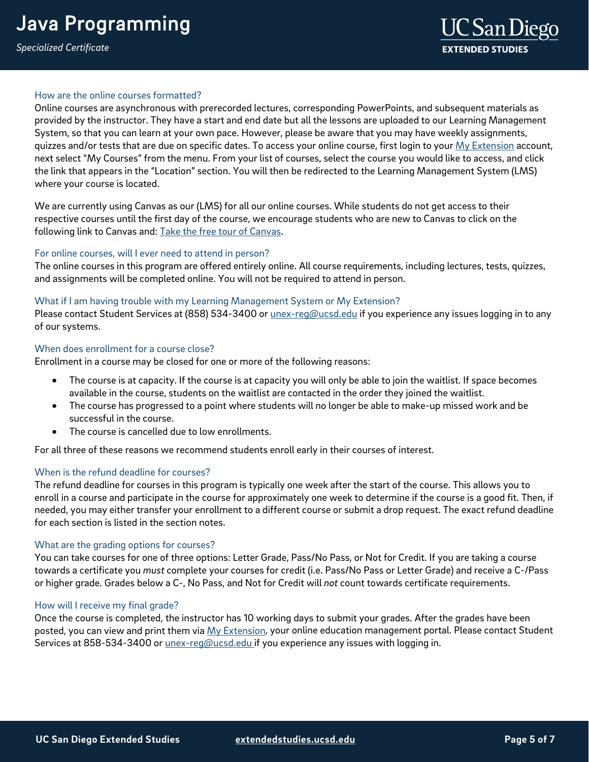#### How are the online courses formatted?

Online courses are asynchronous with prerecorded lectures, corresponding PowerPoints, and subsequent materials as provided by the instructor. They have a start and end date but all the lessons are uploaded to our Learning Management System, so that you can learn at your own pace. However, please be aware that you may have weekly assignments, quizzes and/or tests that are due on specific dates. To access your online course, first login to your [My Extension](https://myextension.ucsd.edu/?_ga=2.168210726.627403318.1595353518-1029495817.1595353518) account, next select "My Courses" from the menu. From your list of courses, select the course you would like to access, and click the link that appears in the "Location" section. You will then be redirected to the Learning Management System (LMS) where your course is located.

We are currently using Canvas as our (LMS) for all our online courses. While students do not get access to their respective courses until the first day of the course, we encourage students who are new to Canvas to click on the following link to Canvas and: [Take the free tour of Canvas.](https://ucsdextension.zendesk.com/hc/en-us/articles/360039110812--Take-an-online-course-tour-Canvas-)

#### For online courses, will I ever need to attend in person?

The online courses in this program are offered entirely online. All course requirements, including lectures, tests, quizzes, and assignments will be completed online. You will not be required to attend in person.

#### What if I am having trouble with my Learning Management System or My Extension?

Please contact Student Services at (858) 534-3400 or *unex-reg@ucsd.edu* if you experience any issues logging in to any of our systems.

#### When does enrollment for a course close?

Enrollment in a course may be closed for one or more of the following reasons:

- The course is at capacity. If the course is at capacity you will only be able to join the waitlist. If space becomes available in the course, students on the waitlist are contacted in the order they joined the waitlist.
- The course has progressed to a point where students will no longer be able to make-up missed work and be successful in the course.
- The course is cancelled due to low enrollments.

For all three of these reasons we recommend students enroll early in their courses of interest.

#### When is the refund deadline for courses?

The refund deadline for courses in this program is typically one week after the start of the course. This allows you to enroll in a course and participate in the course for approximately one week to determine if the course is a good fit. Then, if needed, you may either transfer your enrollment to a different course or submit a drop request. The exact refund deadline for each section is listed in the section notes.

#### What are the grading options for courses?

You can take courses for one of three options: Letter Grade, Pass/No Pass, or Not for Credit. If you are taking a course towards a certificate you *must* complete your courses for credit (i.e. Pass/No Pass or Letter Grade) and receive a C-/Pass or higher grade. Grades below a C-, No Pass, and Not for Credit will *not* count towards certificate requirements.

#### How will I receive my final grade?

Once the course is completed, the instructor has 10 working days to submit your grades. After the grades have been posted, you can view and print them via [My Extension,](https://myextension.ucsd.edu/) your online education management portal. Please contact Student Services at 858-534-3400 or *unex-reg@ucsd.edu* if you experience any issues with logging in.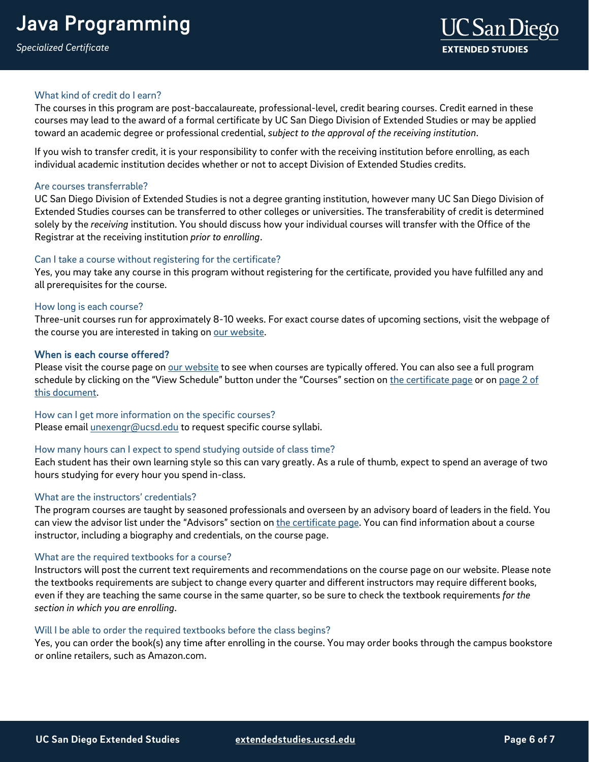#### What kind of credit do I earn?

The courses in this program are post-baccalaureate, professional-level, credit bearing courses. Credit earned in these courses may lead to the award of a formal certificate by UC San Diego Division of Extended Studies or may be applied toward an academic degree or professional credential, *subject to the approval of the receiving institution*.

If you wish to transfer credit, it is your responsibility to confer with the receiving institution before enrolling, as each individual academic institution decides whether or not to accept Division of Extended Studies credits.

#### Are courses transferrable?

UC San Diego Division of Extended Studies is not a degree granting institution, however many UC San Diego Division of Extended Studies courses can be transferred to other colleges or universities. The transferability of credit is determined solely by the *receiving* institution. You should discuss how your individual courses will transfer with the Office of the Registrar at the receiving institution *prior to enrolling*.

#### Can I take a course without registering for the certificate?

Yes, you may take any course in this program without registering for the certificate, provided you have fulfilled any and all prerequisites for the course.

#### How long is each course?

Three-unit courses run for approximately 8-10 weeks. For exact course dates of upcoming sections, visit the webpage of the course you are interested in taking on [our website.](https://extension.ucsd.edu/?utm_source=faqs-pdf&utm_medium=pdf&utm_campaign=bst-java-programming)

#### When is each course offered?

Please visit the course page on [our website](https://extension.ucsd.edu/?utm_source=faqs-pdf&utm_medium=pdf&utm_campaign=bst-java-programming) to see when courses are typically offered. You can also see a full program schedule by clicking on the "View Schedule" button under the "Courses" section o[n the certificate page](https://extension.ucsd.edu/courses-and-programs/java-programming?utm_source=faqs-pdf&utm_medium=pdf&utm_campaign=bst-java-programming) or on page 2 of [this document.](#page-1-0)

#### How can I get more information on the specific courses?

Please email [unexengr@ucsd.edu](mailto:unexengr@ucsd.edu) to request specific course syllabi.

#### How many hours can I expect to spend studying outside of class time?

Each student has their own learning style so this can vary greatly. As a rule of thumb, expect to spend an average of two hours studying for every hour you spend in-class.

#### What are the instructors' credentials?

The program courses are taught by seasoned professionals and overseen by an advisory board of leaders in the field. You can view the advisor list under the "Advisors" section o[n the certificate page.](https://extension.ucsd.edu/courses-and-programs/java-programming?utm_source=faqs-pdf&utm_medium=pdf&utm_campaign=bst-java-programming) You can find information about a course instructor, including a biography and credentials, on the course page.

#### What are the required textbooks for a course?

Instructors will post the current text requirements and recommendations on the course page on our website. Please note the textbooks requirements are subject to change every quarter and different instructors may require different books, even if they are teaching the same course in the same quarter, so be sure to check the textbook requirements *for the section in which you are enrolling*.

#### Will I be able to order the required textbooks before the class begins?

Yes, you can order the book(s) any time after enrolling in the course. You may order books through the campus bookstore or online retailers, such as Amazon.com.